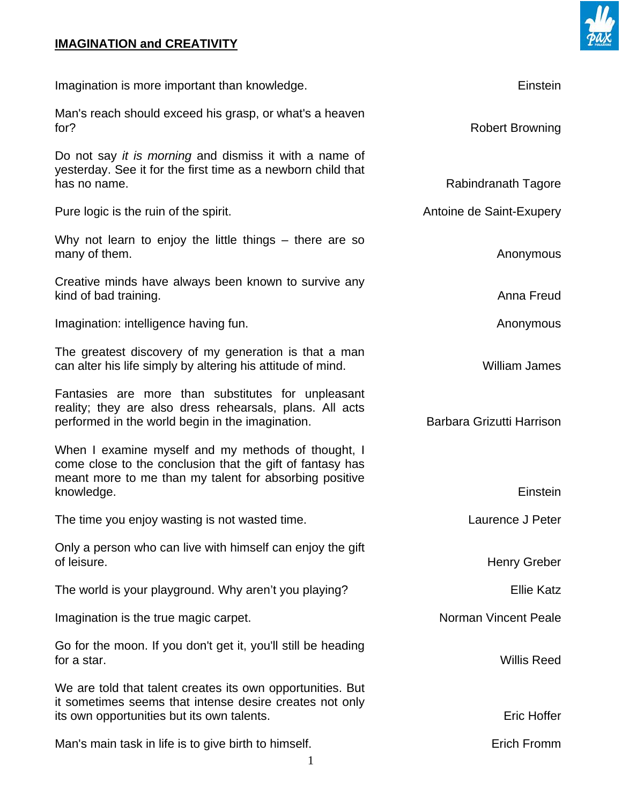## **IMAGINATION and CREATIVITY**



| Imagination is more important than knowledge.                                                                                                                             | Einstein                  |
|---------------------------------------------------------------------------------------------------------------------------------------------------------------------------|---------------------------|
| Man's reach should exceed his grasp, or what's a heaven<br>for?                                                                                                           | <b>Robert Browning</b>    |
| Do not say it is morning and dismiss it with a name of<br>yesterday. See it for the first time as a newborn child that                                                    |                           |
| has no name.                                                                                                                                                              | Rabindranath Tagore       |
| Pure logic is the ruin of the spirit.                                                                                                                                     | Antoine de Saint-Exupery  |
| Why not learn to enjoy the little things $-$ there are so<br>many of them.                                                                                                | Anonymous                 |
| Creative minds have always been known to survive any<br>kind of bad training.                                                                                             | Anna Freud                |
| Imagination: intelligence having fun.                                                                                                                                     | Anonymous                 |
| The greatest discovery of my generation is that a man<br>can alter his life simply by altering his attitude of mind.                                                      | <b>William James</b>      |
| Fantasies are more than substitutes for unpleasant<br>reality; they are also dress rehearsals, plans. All acts<br>performed in the world begin in the imagination.        | Barbara Grizutti Harrison |
| When I examine myself and my methods of thought, I<br>come close to the conclusion that the gift of fantasy has<br>meant more to me than my talent for absorbing positive |                           |
| knowledge.                                                                                                                                                                | Einstein                  |
| The time you enjoy wasting is not wasted time.                                                                                                                            | Laurence J Peter          |
| Only a person who can live with himself can enjoy the gift<br>of leisure.                                                                                                 | Henry Greber              |
| The world is your playground. Why aren't you playing?                                                                                                                     | <b>Ellie Katz</b>         |
| Imagination is the true magic carpet.                                                                                                                                     | Norman Vincent Peale      |
| Go for the moon. If you don't get it, you'll still be heading<br>for a star.                                                                                              | <b>Willis Reed</b>        |
| We are told that talent creates its own opportunities. But<br>it sometimes seems that intense desire creates not only                                                     |                           |
| its own opportunities but its own talents.                                                                                                                                | <b>Eric Hoffer</b>        |
| Man's main task in life is to give birth to himself.                                                                                                                      | Erich Fromm               |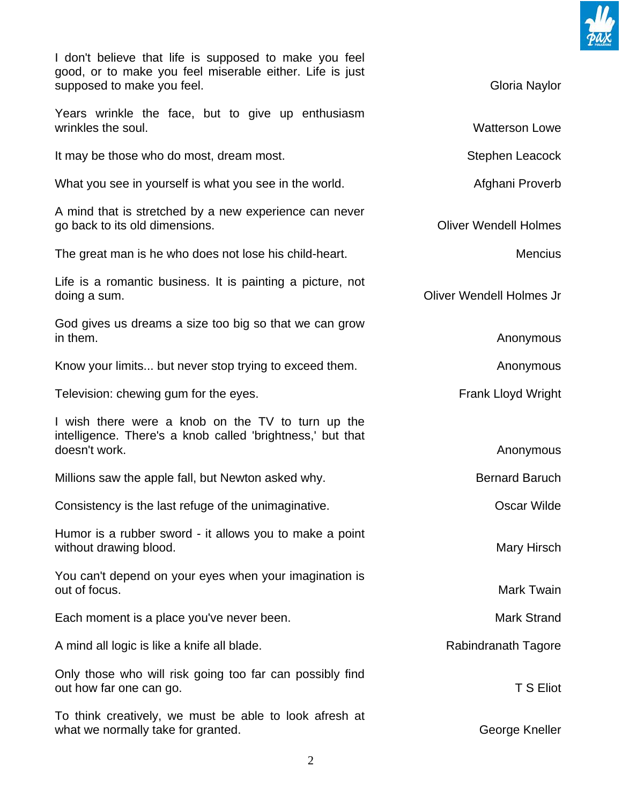